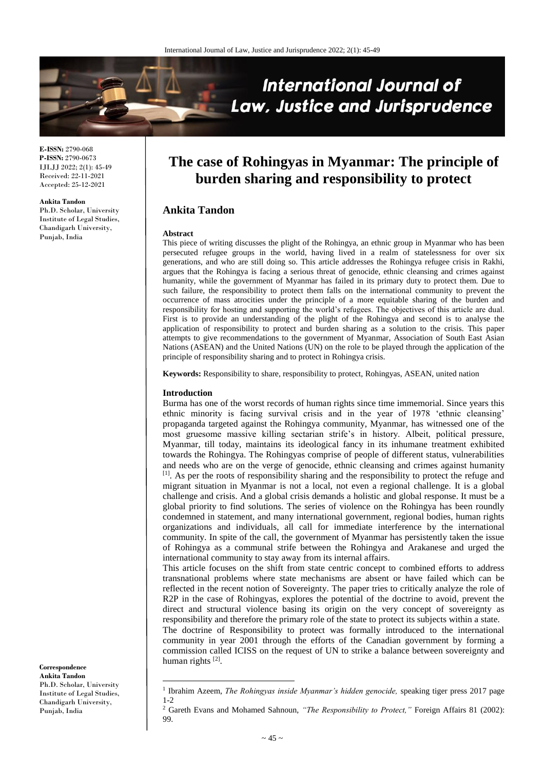

**E-ISSN:** 2790-068 **P-ISSN:** 2790-0673 IJLJJ 2022; 2(1): 45-49 Received: 22-11-2021 Accepted: 25-12-2021

**Ankita Tandon**

Ph.D. Scholar, University Institute of Legal Studies, Chandigarh University, Punjab, India

# **The case of Rohingyas in Myanmar: The principle of burden sharing and responsibility to protect**

# **Ankita Tandon**

#### **Abstract**

This piece of writing discusses the plight of the Rohingya, an ethnic group in Myanmar who has been persecuted refugee groups in the world, having lived in a realm of statelessness for over six generations, and who are still doing so. This article addresses the Rohingya refugee crisis in Rakhi, argues that the Rohingya is facing a serious threat of genocide, ethnic cleansing and crimes against humanity, while the government of Myanmar has failed in its primary duty to protect them. Due to such failure, the responsibility to protect them falls on the international community to prevent the occurrence of mass atrocities under the principle of a more equitable sharing of the burden and responsibility for hosting and supporting the world's refugees. The objectives of this article are dual. First is to provide an understanding of the plight of the Rohingya and second is to analyse the application of responsibility to protect and burden sharing as a solution to the crisis. This paper attempts to give recommendations to the government of Myanmar, Association of South East Asian Nations (ASEAN) and the United Nations (UN) on the role to be played through the application of the principle of responsibility sharing and to protect in Rohingya crisis.

**Keywords:** Responsibility to share, responsibility to protect, Rohingyas, ASEAN, united nation

#### **Introduction**

 $\overline{\phantom{a}}$ 

Burma has one of the worst records of human rights since time immemorial. Since years this ethnic minority is facing survival crisis and in the year of 1978 'ethnic cleansing' propaganda targeted against the Rohingya community, Myanmar, has witnessed one of the most gruesome massive killing sectarian strife's in history. Albeit, political pressure, Myanmar, till today, maintains its ideological fancy in its inhumane treatment exhibited towards the Rohingya. The Rohingyas comprise of people of different status, vulnerabilities and needs who are on the verge of genocide, ethnic cleansing and crimes against humanity [1]. As per the roots of responsibility sharing and the responsibility to protect the refuge and migrant situation in Myanmar is not a local, not even a regional challenge. It is a global challenge and crisis. And a global crisis demands a holistic and global response. It must be a global priority to find solutions. The series of violence on the Rohingya has been roundly condemned in statement, and many international government, regional bodies, human rights organizations and individuals, all call for immediate interference by the international community. In spite of the call, the government of Myanmar has persistently taken the issue of Rohingya as a communal strife between the Rohingya and Arakanese and urged the international community to stay away from its internal affairs.

This article focuses on the shift from state centric concept to combined efforts to address transnational problems where state mechanisms are absent or have failed which can be reflected in the recent notion of Sovereignty. The paper tries to critically analyze the role of R2P in the case of Rohingyas, explores the potential of the doctrine to avoid, prevent the direct and structural violence basing its origin on the very concept of sovereignty as responsibility and therefore the primary role of the state to protect its subjects within a state.

The doctrine of Responsibility to protect was formally introduced to the international community in year 2001 through the efforts of the Canadian government by forming a commission called ICISS on the request of UN to strike a balance between sovereignty and human rights<sup>[2]</sup>.

**Correspondence Ankita Tandon** Ph.D. Scholar, University Institute of Legal Studies, Chandigarh University, Punjab, India

<sup>&</sup>lt;sup>1</sup> Ibrahim Azeem, *The Rohingyas inside Myanmar's hidden genocide*, speaking tiger press 2017 page 1-2

<sup>&</sup>lt;sup>2</sup> Gareth Evans and Mohamed Sahnoun, "The Responsibility to Protect," Foreign Affairs 81 (2002): 99.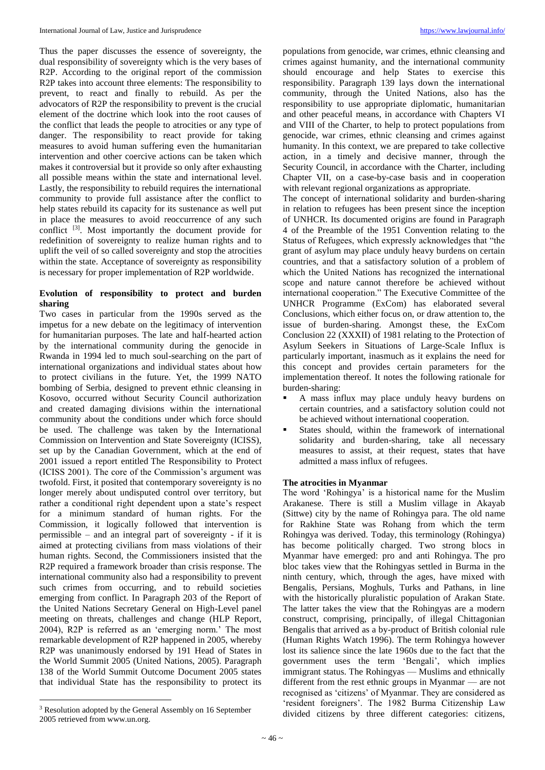Thus the paper discusses the essence of sovereignty, the dual responsibility of sovereignty which is the very bases of R2P. According to the original report of the commission R2P takes into account three elements: The responsibility to prevent, to react and finally to rebuild. As per the advocators of R2P the responsibility to prevent is the crucial element of the doctrine which look into the root causes of the conflict that leads the people to atrocities or any type of danger. The responsibility to react provide for taking measures to avoid human suffering even the humanitarian intervention and other coercive actions can be taken which makes it controversial but it provide so only after exhausting all possible means within the state and international level. Lastly, the responsibility to rebuild requires the international community to provide full assistance after the conflict to help states rebuild its capacity for its sustenance as well put in place the measures to avoid reoccurrence of any such conflict <sup>[3]</sup>. Most importantly the document provide for redefinition of sovereignty to realize human rights and to uplift the veil of so called sovereignty and stop the atrocities within the state. Acceptance of sovereignty as responsibility is necessary for proper implementation of R2P worldwide.

# **Evolution of responsibility to protect and burden sharing**

Two cases in particular from the 1990s served as the impetus for a new debate on the legitimacy of intervention for humanitarian purposes. The late and half-hearted action by the international community during the genocide in Rwanda in 1994 led to much soul-searching on the part of international organizations and individual states about how to protect civilians in the future. Yet, the 1999 NATO bombing of Serbia, designed to prevent ethnic cleansing in Kosovo, occurred without Security Council authorization and created damaging divisions within the international community about the conditions under which force should be used. The challenge was taken by the International Commission on Intervention and State Sovereignty (ICISS), set up by the Canadian Government, which at the end of 2001 issued a report entitled The Responsibility to Protect (ICISS 2001). The core of the Commission's argument was twofold. First, it posited that contemporary sovereignty is no longer merely about undisputed control over territory, but rather a conditional right dependent upon a state's respect for a minimum standard of human rights. For the Commission, it logically followed that intervention is permissible – and an integral part of sovereignty - if it is aimed at protecting civilians from mass violations of their human rights. Second, the Commissioners insisted that the R2P required a framework broader than crisis response. The international community also had a responsibility to prevent such crimes from occurring, and to rebuild societies emerging from conflict. In Paragraph 203 of the Report of the United Nations Secretary General on High-Level panel meeting on threats, challenges and change (HLP Report, 2004), R2P is referred as an 'emerging norm.' The most remarkable development of R2P happened in 2005, whereby R2P was unanimously endorsed by 191 Head of States in the World Summit 2005 (United Nations, 2005). Paragraph 138 of the World Summit Outcome Document 2005 states that individual State has the responsibility to protect its

 $\overline{\phantom{a}}$ 

populations from genocide, war crimes, ethnic cleansing and crimes against humanity, and the international community should encourage and help States to exercise this responsibility. Paragraph 139 lays down the international community, through the United Nations, also has the responsibility to use appropriate diplomatic, humanitarian and other peaceful means, in accordance with Chapters VI and VIII of the Charter, to help to protect populations from genocide, war crimes, ethnic cleansing and crimes against humanity. In this context, we are prepared to take collective action, in a timely and decisive manner, through the Security Council, in accordance with the Charter, including Chapter VII, on a case-by-case basis and in cooperation with relevant regional organizations as appropriate.

The concept of international solidarity and burden-sharing in relation to refugees has been present since the inception of UNHCR. Its documented origins are found in Paragraph 4 of the Preamble of the 1951 Convention relating to the Status of Refugees, which expressly acknowledges that "the grant of asylum may place unduly heavy burdens on certain countries, and that a satisfactory solution of a problem of which the United Nations has recognized the international scope and nature cannot therefore be achieved without international cooperation." The Executive Committee of the UNHCR Programme (ExCom) has elaborated several Conclusions, which either focus on, or draw attention to, the issue of burden-sharing. Amongst these, the ExCom Conclusion 22 (XXXII) of 1981 relating to the Protection of Asylum Seekers in Situations of Large-Scale Influx is particularly important, inasmuch as it explains the need for this concept and provides certain parameters for the implementation thereof. It notes the following rationale for burden-sharing:

- A mass influx may place unduly heavy burdens on certain countries, and a satisfactory solution could not be achieved without international cooperation.
- States should, within the framework of international solidarity and burden-sharing, take all necessary measures to assist, at their request, states that have admitted a mass influx of refugees.

## **The atrocities in Myanmar**

The word 'Rohingya' is a historical name for the Muslim Arakanese. There is still a Muslim village in Akayab (Sittwe) city by the name of Rohingya para. The old name for Rakhine State was Rohang from which the term Rohingya was derived. Today, this terminology (Rohingya) has become politically charged. Two strong blocs in Myanmar have emerged: pro and anti Rohingya. The pro bloc takes view that the Rohingyas settled in Burma in the ninth century, which, through the ages, have mixed with Bengalis, Persians, Moghuls, Turks and Pathans, in line with the historically pluralistic population of Arakan State. The latter takes the view that the Rohingyas are a modern construct, comprising, principally, of illegal Chittagonian Bengalis that arrived as a by-product of British colonial rule (Human Rights Watch 1996). The term Rohingya however lost its salience since the late 1960s due to the fact that the government uses the term 'Bengali', which implies immigrant status. The Rohingyas — Muslims and ethnically different from the rest ethnic groups in Myanmar — are not recognised as 'citizens' of Myanmar. They are considered as 'resident foreigners'. The 1982 Burma Citizenship Law divided citizens by three different categories: citizens,

<sup>&</sup>lt;sup>3</sup> Resolution adopted by the General Assembly on 16 September 2005 retrieved from www.un.org.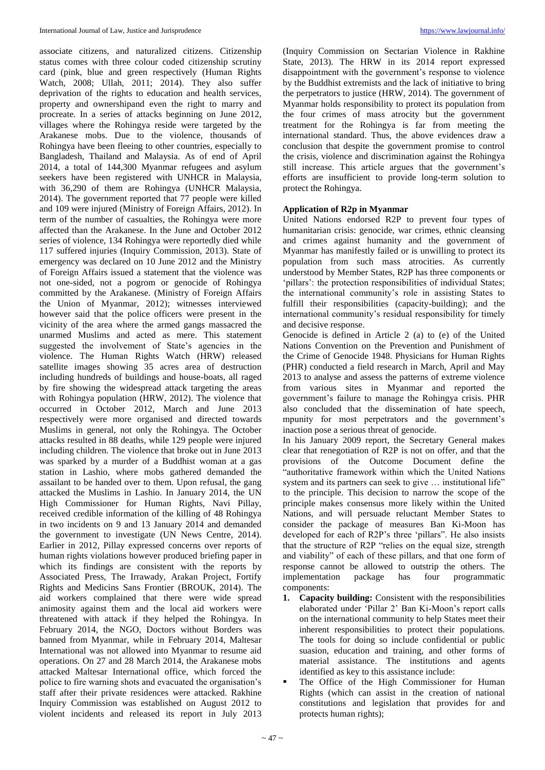associate citizens, and naturalized citizens. Citizenship status comes with three colour coded citizenship scrutiny card (pink, blue and green respectively (Human Rights Watch, 2008; Ullah, 2011; 2014). They also suffer deprivation of the rights to education and health services, property and ownershipand even the right to marry and procreate. In a series of attacks beginning on June 2012, villages where the Rohingya reside were targeted by the Arakanese mobs. Due to the violence, thousands of Rohingya have been fleeing to other countries, especially to Bangladesh, Thailand and Malaysia. As of end of April 2014, a total of 144,300 Myanmar refugees and asylum seekers have been registered with UNHCR in Malaysia, with 36,290 of them are Rohingya (UNHCR Malaysia, 2014). The government reported that 77 people were killed and 109 were injured (Ministry of Foreign Affairs, 2012). In term of the number of casualties, the Rohingya were more affected than the Arakanese. In the June and October 2012 series of violence, 134 Rohingya were reportedly died while 117 suffered injuries (Inquiry Commission, 2013). State of emergency was declared on 10 June 2012 and the Ministry of Foreign Affairs issued a statement that the violence was not one-sided, not a pogrom or genocide of Rohingya committed by the Arakanese. (Ministry of Foreign Affairs the Union of Myanmar, 2012); witnesses interviewed however said that the police officers were present in the vicinity of the area where the armed gangs massacred the unarmed Muslims and acted as mere. This statement suggested the involvement of State's agencies in the violence. The Human Rights Watch (HRW) released satellite images showing 35 acres area of destruction including hundreds of buildings and house-boats, all raged by fire showing the widespread attack targeting the areas with Rohingya population (HRW, 2012). The violence that occurred in October 2012, March and June 2013 respectively were more organised and directed towards Muslims in general, not only the Rohingya. The October attacks resulted in 88 deaths, while 129 people were injured including children. The violence that broke out in June 2013 was sparked by a murder of a Buddhist woman at a gas station in Lashio, where mobs gathered demanded the assailant to be handed over to them. Upon refusal, the gang attacked the Muslims in Lashio. In January 2014, the UN High Commissioner for Human Rights, Navi Pillay, received credible information of the killing of 48 Rohingya in two incidents on 9 and 13 January 2014 and demanded the government to investigate (UN News Centre, 2014). Earlier in 2012, Pillay expressed concerns over reports of human rights violations however produced briefing paper in which its findings are consistent with the reports by Associated Press, The Irrawady, Arakan Project, Fortify Rights and Medicins Sans Frontier (BROUK, 2014). The aid workers complained that there were wide spread animosity against them and the local aid workers were threatened with attack if they helped the Rohingya. In February 2014, the NGO, Doctors without Borders was banned from Myanmar, while in February 2014, Maltesar International was not allowed into Myanmar to resume aid operations. On 27 and 28 March 2014, the Arakanese mobs attacked Maltesar International office, which forced the police to fire warning shots and evacuated the organisation's staff after their private residences were attacked. Rakhine Inquiry Commission was established on August 2012 to violent incidents and released its report in July 2013

(Inquiry Commission on Sectarian Violence in Rakhine State, 2013). The HRW in its 2014 report expressed disappointment with the government's response to violence by the Buddhist extremists and the lack of initiative to bring the perpetrators to justice (HRW, 2014). The government of Myanmar holds responsibility to protect its population from the four crimes of mass atrocity but the government treatment for the Rohingya is far from meeting the international standard. Thus, the above evidences draw a conclusion that despite the government promise to control the crisis, violence and discrimination against the Rohingya still increase. This article argues that the government's efforts are insufficient to provide long-term solution to protect the Rohingya.

## **Application of R2p in Myanmar**

United Nations endorsed R2P to prevent four types of humanitarian crisis: genocide, war crimes, ethnic cleansing and crimes against humanity and the government of Myanmar has manifestly failed or is unwilling to protect its population from such mass atrocities. As currently understood by Member States, R2P has three components or 'pillars': the protection responsibilities of individual States; the international community's role in assisting States to fulfill their responsibilities (capacity-building); and the international community's residual responsibility for timely and decisive response.

Genocide is defined in Article 2 (a) to (e) of the United Nations Convention on the Prevention and Punishment of the Crime of Genocide 1948. Physicians for Human Rights (PHR) conducted a field research in March, April and May 2013 to analyse and assess the patterns of extreme violence from various sites in Myanmar and reported the government's failure to manage the Rohingya crisis. PHR also concluded that the dissemination of hate speech, mpunity for most perpetrators and the government's inaction pose a serious threat of genocide.

In his January 2009 report, the Secretary General makes clear that renegotiation of R2P is not on offer, and that the provisions of the Outcome Document define the "authoritative framework within which the United Nations system and its partners can seek to give ... institutional life" to the principle. This decision to narrow the scope of the principle makes consensus more likely within the United Nations, and will persuade reluctant Member States to consider the package of measures Ban Ki-Moon has developed for each of R2P's three 'pillars". He also insists that the structure of R2P "relies on the equal size, strength and viability" of each of these pillars, and that one form of response cannot be allowed to outstrip the others. The implementation package has four programmatic components:

- **1. Capacity building:** Consistent with the responsibilities elaborated under 'Pillar 2' Ban Ki-Moon's report calls on the international community to help States meet their inherent responsibilities to protect their populations. The tools for doing so include confidential or public suasion, education and training, and other forms of material assistance. The institutions and agents identified as key to this assistance include:
- The Office of the High Commissioner for Human Rights (which can assist in the creation of national constitutions and legislation that provides for and protects human rights);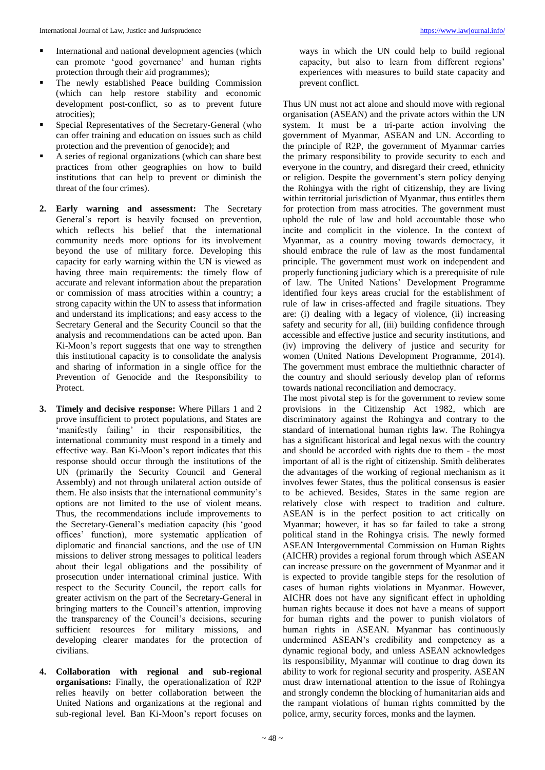- International and national development agencies (which can promote 'good governance' and human rights protection through their aid programmes);
- The newly established Peace building Commission (which can help restore stability and economic development post-conflict, so as to prevent future atrocities);
- Special Representatives of the Secretary-General (who can offer training and education on issues such as child protection and the prevention of genocide); and
- A series of regional organizations (which can share best practices from other geographies on how to build institutions that can help to prevent or diminish the threat of the four crimes).
- **2. Early warning and assessment:** The Secretary General's report is heavily focused on prevention, which reflects his belief that the international community needs more options for its involvement beyond the use of military force. Developing this capacity for early warning within the UN is viewed as having three main requirements: the timely flow of accurate and relevant information about the preparation or commission of mass atrocities within a country; a strong capacity within the UN to assess that information and understand its implications; and easy access to the Secretary General and the Security Council so that the analysis and recommendations can be acted upon. Ban Ki-Moon's report suggests that one way to strengthen this institutional capacity is to consolidate the analysis and sharing of information in a single office for the Prevention of Genocide and the Responsibility to Protect.
- **3. Timely and decisive response:** Where Pillars 1 and 2 prove insufficient to protect populations, and States are 'manifestly failing' in their responsibilities, the international community must respond in a timely and effective way. Ban Ki-Moon's report indicates that this response should occur through the institutions of the UN (primarily the Security Council and General Assembly) and not through unilateral action outside of them. He also insists that the international community's options are not limited to the use of violent means. Thus, the recommendations include improvements to the Secretary-General's mediation capacity (his 'good offices' function), more systematic application of diplomatic and financial sanctions, and the use of UN missions to deliver strong messages to political leaders about their legal obligations and the possibility of prosecution under international criminal justice. With respect to the Security Council, the report calls for greater activism on the part of the Secretary-General in bringing matters to the Council's attention, improving the transparency of the Council's decisions, securing sufficient resources for military missions, and developing clearer mandates for the protection of civilians.
- **4. Collaboration with regional and sub-regional organisations:** Finally, the operationalization of R2P relies heavily on better collaboration between the United Nations and organizations at the regional and sub-regional level. Ban Ki-Moon's report focuses on

ways in which the UN could help to build regional capacity, but also to learn from different regions' experiences with measures to build state capacity and prevent conflict.

Thus UN must not act alone and should move with regional organisation (ASEAN) and the private actors within the UN system. It must be a tri-parte action involving the government of Myanmar, ASEAN and UN. According to the principle of R2P, the government of Myanmar carries the primary responsibility to provide security to each and everyone in the country, and disregard their creed, ethnicity or religion. Despite the government's stern policy denying the Rohingya with the right of citizenship, they are living within territorial jurisdiction of Myanmar, thus entitles them for protection from mass atrocities. The government must uphold the rule of law and hold accountable those who incite and complicit in the violence. In the context of Myanmar, as a country moving towards democracy, it should embrace the rule of law as the most fundamental principle. The government must work on independent and properly functioning judiciary which is a prerequisite of rule of law. The United Nations' Development Programme identified four keys areas crucial for the establishment of rule of law in crises-affected and fragile situations. They are: (i) dealing with a legacy of violence, (ii) increasing safety and security for all, (iii) building confidence through accessible and effective justice and security institutions, and (iv) improving the delivery of justice and security for women (United Nations Development Programme, 2014). The government must embrace the multiethnic character of the country and should seriously develop plan of reforms towards national reconciliation and democracy.

The most pivotal step is for the government to review some provisions in the Citizenship Act 1982, which are discriminatory against the Rohingya and contrary to the standard of international human rights law. The Rohingya has a significant historical and legal nexus with the country and should be accorded with rights due to them - the most important of all is the right of citizenship. Smith deliberates the advantages of the working of regional mechanism as it involves fewer States, thus the political consensus is easier to be achieved. Besides, States in the same region are relatively close with respect to tradition and culture. ASEAN is in the perfect position to act critically on Myanmar; however, it has so far failed to take a strong political stand in the Rohingya crisis. The newly formed ASEAN Intergovernmental Commission on Human Rights (AICHR) provides a regional forum through which ASEAN can increase pressure on the government of Myanmar and it is expected to provide tangible steps for the resolution of cases of human rights violations in Myanmar. However, AICHR does not have any significant effect in upholding human rights because it does not have a means of support for human rights and the power to punish violators of human rights in ASEAN. Myanmar has continuously undermined ASEAN's credibility and competency as a dynamic regional body, and unless ASEAN acknowledges its responsibility, Myanmar will continue to drag down its ability to work for regional security and prosperity. ASEAN must draw international attention to the issue of Rohingya and strongly condemn the blocking of humanitarian aids and the rampant violations of human rights committed by the police, army, security forces, monks and the laymen.